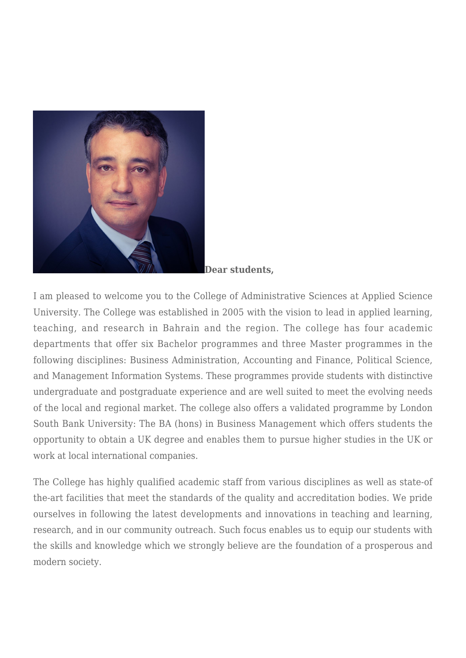

**Dear students,**

I am pleased to welcome you to the College of Administrative Sciences at Applied Science University. The College was established in 2005 with the vision to lead in applied learning, teaching, and research in Bahrain and the region. The college has four academic departments that offer six Bachelor programmes and three Master programmes in the following disciplines: Business Administration, Accounting and Finance, Political Science, and Management Information Systems. These programmes provide students with distinctive undergraduate and postgraduate experience and are well suited to meet the evolving needs of the local and regional market. The college also offers a validated programme by London South Bank University: The BA (hons) in Business Management which offers students the opportunity to obtain a UK degree and enables them to pursue higher studies in the UK or work at local international companies.

The College has highly qualified academic staff from various disciplines as well as state-of the-art facilities that meet the standards of the quality and accreditation bodies. We pride ourselves in following the latest developments and innovations in teaching and learning, research, and in our community outreach. Such focus enables us to equip our students with the skills and knowledge which we strongly believe are the foundation of a prosperous and modern society.